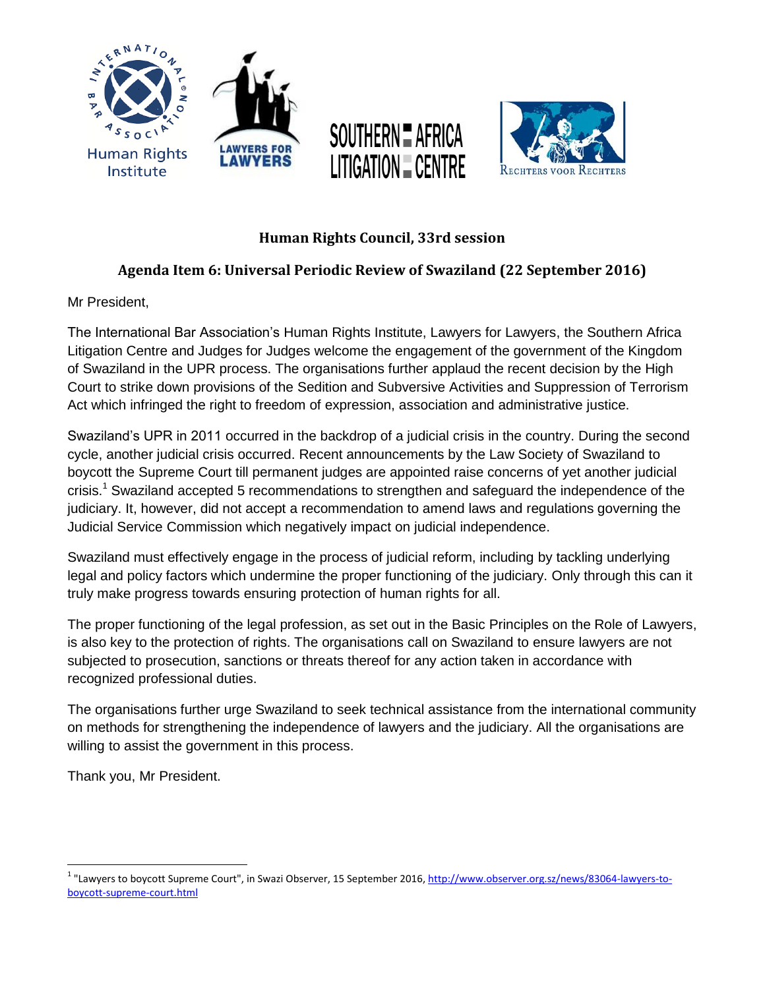





## **Human Rights Council, 33rd session**

## **Agenda Item 6: Universal Periodic Review of Swaziland (22 September 2016)**

Mr President,

The International Bar Association's Human Rights Institute, Lawyers for Lawyers, the Southern Africa Litigation Centre and Judges for Judges welcome the engagement of the government of the Kingdom of Swaziland in the UPR process. The organisations further applaud the recent decision by the High Court to strike down provisions of the Sedition and Subversive Activities and Suppression of Terrorism Act which infringed the right to freedom of expression, association and administrative justice.

Swaziland's UPR in 2011 occurred in the backdrop of a judicial crisis in the country. During the second cycle, another judicial crisis occurred. Recent announcements by the Law Society of Swaziland to boycott the Supreme Court till permanent judges are appointed raise concerns of yet another judicial crisis.<sup>1</sup> Swaziland accepted 5 recommendations to strengthen and safeguard the independence of the judiciary. It, however, did not accept a recommendation to amend laws and regulations governing the Judicial Service Commission which negatively impact on judicial independence.

Swaziland must effectively engage in the process of judicial reform, including by tackling underlying legal and policy factors which undermine the proper functioning of the judiciary. Only through this can it truly make progress towards ensuring protection of human rights for all.

The proper functioning of the legal profession, as set out in the Basic Principles on the Role of Lawyers, is also key to the protection of rights. The organisations call on Swaziland to ensure lawyers are not subjected to prosecution, sanctions or threats thereof for any action taken in accordance with recognized professional duties.

The organisations further urge Swaziland to seek technical assistance from the international community on methods for strengthening the independence of lawyers and the judiciary. All the organisations are willing to assist the government in this process.

Thank you, Mr President.

 $\overline{a}$ 

<sup>&</sup>lt;sup>1</sup> "Lawyers to boycott Supreme Court", in Swazi Observer, 15 September 2016, <u>http://www.observer.org.sz/news/83064-lawyers-to-</u> [boycott-supreme-court.html](http://www.observer.org.sz/news/83064-lawyers-to-boycott-supreme-court.html)